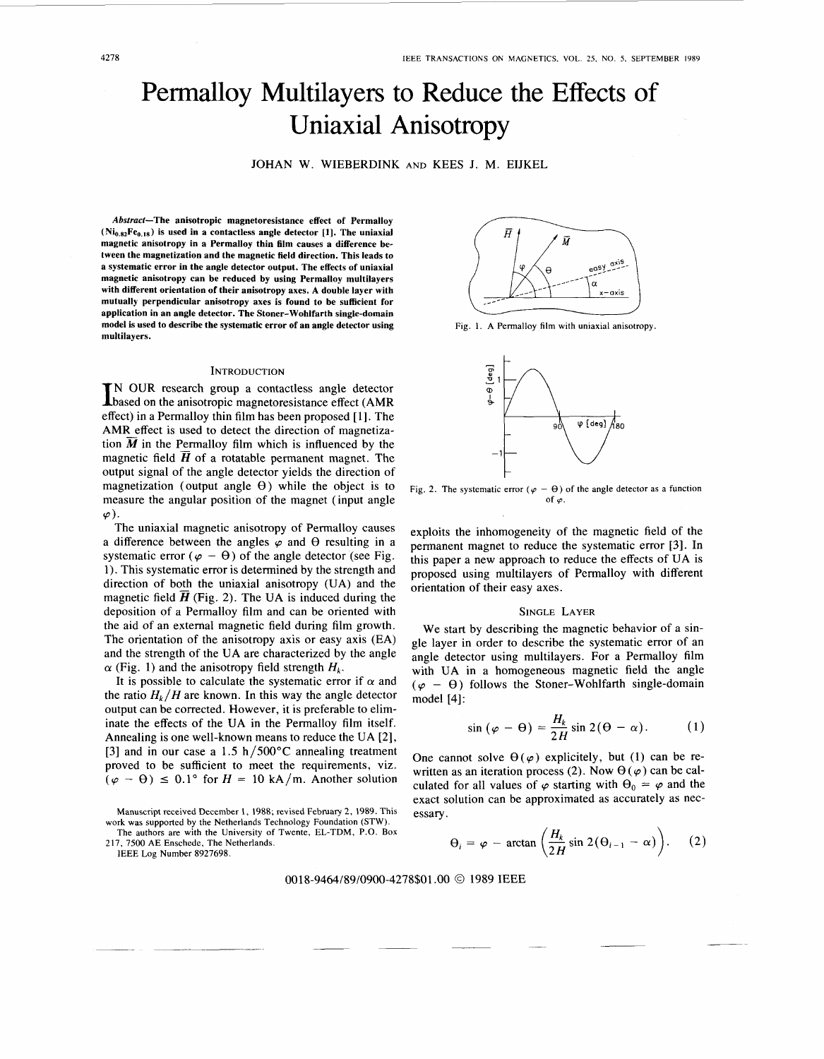# Permalloy Multilayers to Reduce the Effects of Uniaxial Anisotropy

JOHAN W. WIEBERDINK AND KEES J. M. EIJKEL

**Abstract-The anisotropic magnetoresistance effect of Permalloy**   $(Ni_{0.82}Fe<sub>0.18</sub>)$  is used in a contactless angle detector [1]. The uniaxial **magnetic anisotropy in a Permalloy thin film causes a difference between the magnetization and the magnetic field direction. This leads to a systematic error in the angle detector output. The effects of uniaxial magnetic anisotropy can be reduced by using Permalloy multilayers with different orientation of their anisotropy axes. A double layer with mutually perpendicular anisotropy axes is found to be sufficient for application in an angle detector. The Stoner-Wohlfarth single-domain model is used to describe the systematic error of an angle detector using multilayers.** 

### **INTRODUCTION**

IN OUR research group a contactless angle detector based on the anisotropic magnetoresistance effect (AMR) effect) in a Permalloy thin film has been proposed [ 11. The AMR effect is used to detect the direction of magnetization  $\overline{M}$  in the Permalloy film which is influenced by the magnetic field  $\overline{H}$  of a rotatable permanent magnet. The output signal of the angle detector yields the direction of magnetization (output angle  $\Theta$ ) while the object is to measure the angular position of the magnet (input angle  $\varphi$ ).

The uniaxial magnetic anisotropy of Permalloy causes a difference between the angles  $\varphi$  and  $\theta$  resulting in a systematic error  $(\varphi - \theta)$  of the angle detector (see Fig. 1). This systematic error is determined by the strength and direction of both the uniaxial anisotropy **(UA)** and the magnetic field  $\overline{H}$  (Fig. 2). The UA is induced during the deposition of a Permalloy film and can be oriented with the aid of an external magnetic field during film growth. The orientation of the anisotropy axis or easy axis (EA) and the strength of the UA are characterized by the angle  $\alpha$  (Fig. 1) and the anisotropy field strength  $H_k$ .

It is possible to calculate the systematic error if  $\alpha$  and the ratio  $H_k/H$  are known. In this way the angle detector output can be corrected. However, it **is** preferable to eliminate the effects of the UA in the Permalloy film itself. Annealing is one well-known means to reduce the UA **[2],**  [3] and in our case a 1.5 h/500 $^{\circ}$ C annealing treatment proved to be sufficient to meet the requirements, viz.  $(\varphi - \theta) \le 0.1^{\circ}$  for  $H = 10 \text{ kA/m}$ . Another solution

Manuscript received December 1, 1988; revised February 2, 1989. This work was supported by the Netherlands Technology Foundation **(STW).** 

The authors are with the University of Twente, EL-TDM, P.O. **Box**  217, 7500 AE Enschede, The Netherlands.

IEEE Log Number 8927698.



Fig. 1. A Permalloy film with uniaxial anisotropy.



Fig. 2. The systematic error  $(\varphi - \theta)$  of the angle detector as a function of  $\varphi$ .

exploits the inhomogeneity of the magnetic field of the permanent magnet to reduce the systematic error **[3].** In this paper a new approach to reduce the effects of **UA** is proposed using multilayers of Permalloy with different orientation of their easy axes.

## SINGLE LAYER

We start by describing the magnetic behavior of a single layer in order to describe the systematic error of an angle detector using multilayers. For a Permalloy film with UA in a homogeneous magnetic field the angle  $(\varphi - \theta)$  follows the Stoner-Wohlfarth single-domain model [4]:

$$
\sin\left(\varphi-\Theta\right)=\frac{H_k}{2H}\sin 2(\Theta-\alpha). \hspace{1cm} (1)
$$

One cannot solve  $\theta(\varphi)$  explicitely, but (1) can be rewritten as an iteration process (2). Now  $\Theta(\varphi)$  can be calculated for all values of  $\varphi$  starting with  $\Theta_0 = \varphi$  and the exact solution can be approximated as accurately as necessary.

$$
\Theta_i = \varphi - \arctan\left(\frac{H_k}{2H}\sin 2(\Theta_{i-1} - \alpha)\right). \tag{2}
$$

0018-9464/89/0900-4278\$01 **.OO** *0* 1989 IEEE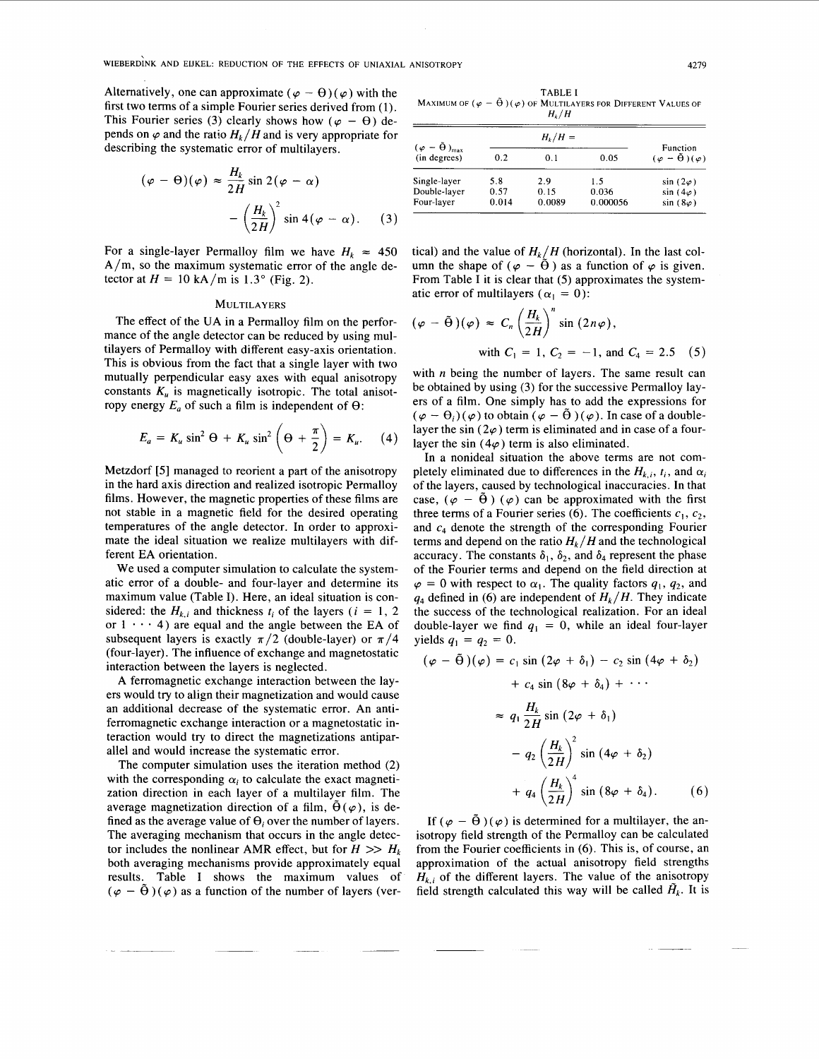Alternatively, one can approximate ( $\varphi - \theta$ ) ( $\varphi$ ) with the first two terms of a simple Fourier series derived from (1). This Fourier series (3) clearly shows how ( $\varphi - \theta$ ) depends on  $\varphi$  and the ratio  $H_k/H$  and is very appropriate for describing the systematic error of multilayers.

$$
(\varphi - \Theta)(\varphi) \approx \frac{H_k}{2H} \sin 2(\varphi - \alpha)
$$

$$
-\left(\frac{H_k}{2H}\right)^2 \sin 4(\varphi - \alpha). \quad (3)
$$

For a single-layer Permalloy film we have  $H_k \approx 450$  $A/m$ , so the maximum systematic error of the angle detector at  $H = 10$  kA/m is  $1.3^{\circ}$  (Fig. 2).

#### **MULTILAYERS**

The effect of the UA in a Permalloy film on the performance of the angle detector can be reduced by using multilayers of Permalloy with different easy-axis orientation. This is obvious from the fact that a single layer with two mutually perpendicular easy axes with equal anisotropy constants  $K_{\nu}$  is magnetically isotropic. The total anisotropy energy  $E_a$  of such a film is independent of  $\Theta$ :

$$
E_a = K_u \sin^2 \Theta + K_u \sin^2 \left(\Theta + \frac{\pi}{2}\right) = K_u.
$$
 (4)

Metzdorf *[5]* managed to reorient a part of the anisotropy in the hard axis direction and realized isotropic Permalloy films. However, the magnetic properties of these films are not stable in a magnetic field for the desired operating temperatures of the angle detector. In order to approximate the ideal situation we realize multilayers with different EA orientation.

We used a computer simulation to calculate the systematic error of a double- and four-layer and determine its maximum value (Table I). Here, an ideal situation is considered: the  $H_k$ , and thickness  $t_i$  of the layers  $(i = 1, 2)$ or  $1 \cdot \cdot \cdot 4$ ) are equal and the angle between the EA of subsequent layers is exactly  $\pi/2$  (double-layer) or  $\pi/4$ (four-layer). The influence of exchange and magnetostatic interaction between the layers is neglected.

A ferromagnetic exchange interaction between the layers would try to align their magnetization and would cause an additional decrease of the systematic error. An antiferromagnetic exchange interaction or a magnetostatic interaction would try to direct the magnetizations antiparallel and would increase the systematic error.

The computer simulation uses the iteration method *(2)*  with the corresponding  $\alpha_i$  to calculate the exact magnetization direction in each layer of a multilayer film. The average magnetization direction of a film,  $\Theta(\varphi)$ , is defined as the average value of  $\Theta_i$  over the number of layers. The averaging mechanism that occurs in the angle detector includes the nonlinear AMR effect, but for  $H \gg H_k$ both averaging mechanisms provide approximately equal results. Table I shows the maximum values of  $(\varphi - \tilde{\theta})(\varphi)$  as a function of the number of layers (ver-

**TABLE I MAXIMUM OF**  $(\varphi - \tilde{\Theta})(\varphi)$  **OF MULTILAYERS FOR DIFFERENT VALUES OF** *Hk/H* 

| $(\varphi - \tilde{\Theta})_{\text{max}}$<br>(in degrees) | $H_k/H =$ |        |          | Function                              |
|-----------------------------------------------------------|-----------|--------|----------|---------------------------------------|
|                                                           | 0.2       | 0.1    | 0.05     | $(\varphi - \tilde{\Theta})(\varphi)$ |
| Single-layer                                              | 5.8       | 2.9    | 1.5      | $sin(2\varphi)$                       |
| Double-layer                                              | 0.57      | 0.15   | 0.036    | $sin(4\varphi)$                       |
| Four-layer                                                | 0.014     | 0.0089 | 0.000056 | $sin(8\varphi)$                       |

tical) and the value of  $H_k/H$  (horizontal). In the last column the shape of ( $\varphi - \tilde{\Theta}$ ) as a function of  $\varphi$  is given. From Table I it is clear that (5) approximates the systematic error of multilayers ( $\alpha_1 = 0$ ):

$$
(\varphi - \tilde{\Theta})(\varphi) \approx C_n \left(\frac{H_k}{2H}\right)^n \sin(2n\varphi),
$$
  
with  $C_1 = 1$ ,  $C_2 = -1$ , and  $C_4 = 2.5$  (5)

with *n* being the number of layers. The same result can be obtained by using **(3)** for the successive Permalloy layers of a film. One simply has to add the expressions for  $(\varphi - \theta_i)(\varphi)$  to obtain  $(\varphi - \tilde{\theta})(\varphi)$ . In case of a doublelayer the sin ( $2\varphi$ ) term is eliminated and in case of a fourlayer the sin  $(4\varphi)$  term is also eliminated.

In a nonideal situation the above terms are not completely eliminated due to differences in the  $H_{k,i}$ ,  $t_i$ , and  $\alpha_i$ of the layers, caused by technological inaccuracies. In that case,  $(\varphi - \tilde{\theta}) (\varphi)$  can be approximated with the first three terms of a Fourier series (6). The coefficients  $c_1$ ,  $c_2$ , and  $c_4$  denote the strength of the corresponding Fourier terms and depend on the ratio  $H_k/H$  and the technological accuracy. The constants  $\delta_1$ ,  $\delta_2$ , and  $\delta_4$  represent the phase of the Fourier terms and depend on the field direction at  $\varphi = 0$  with respect to  $\alpha_1$ . The quality factors  $q_1, q_2$ , and  $q_4$  defined in (6) are independent of  $H_k/H$ . They indicate the success of the technological realization. For an ideal double-layer we find  $q_1 = 0$ , while an ideal four-layer  $yields q_1 = q_2 = 0.$ 

$$
(\varphi - \tilde{\Theta})(\varphi) = c_1 \sin (2\varphi + \delta_1) - c_2 \sin (4\varphi + \delta_2)
$$
  
+  $c_4 \sin (8\varphi + \delta_4) + \cdots$   

$$
\approx q_1 \frac{H_k}{2H} \sin (2\varphi + \delta_1)
$$
  
-  $q_2 \left(\frac{H_k}{2H}\right)^2 \sin (4\varphi + \delta_2)$   
+  $q_4 \left(\frac{H_k}{2H}\right)^4 \sin (8\varphi + \delta_4).$  (6)

If  $(\varphi - \tilde{\Theta}) (\varphi)$  is determined for a multilayer, the anisotropy field strength of the Permalloy can be calculated from the Fourier coefficients in (6). This is, of course, an approximation of the actual anisotropy field strengths  $H_{k,i}$  of the different layers. The value of the anisotropy field strength calculated this way will be called  $\tilde{H}_k$ . It is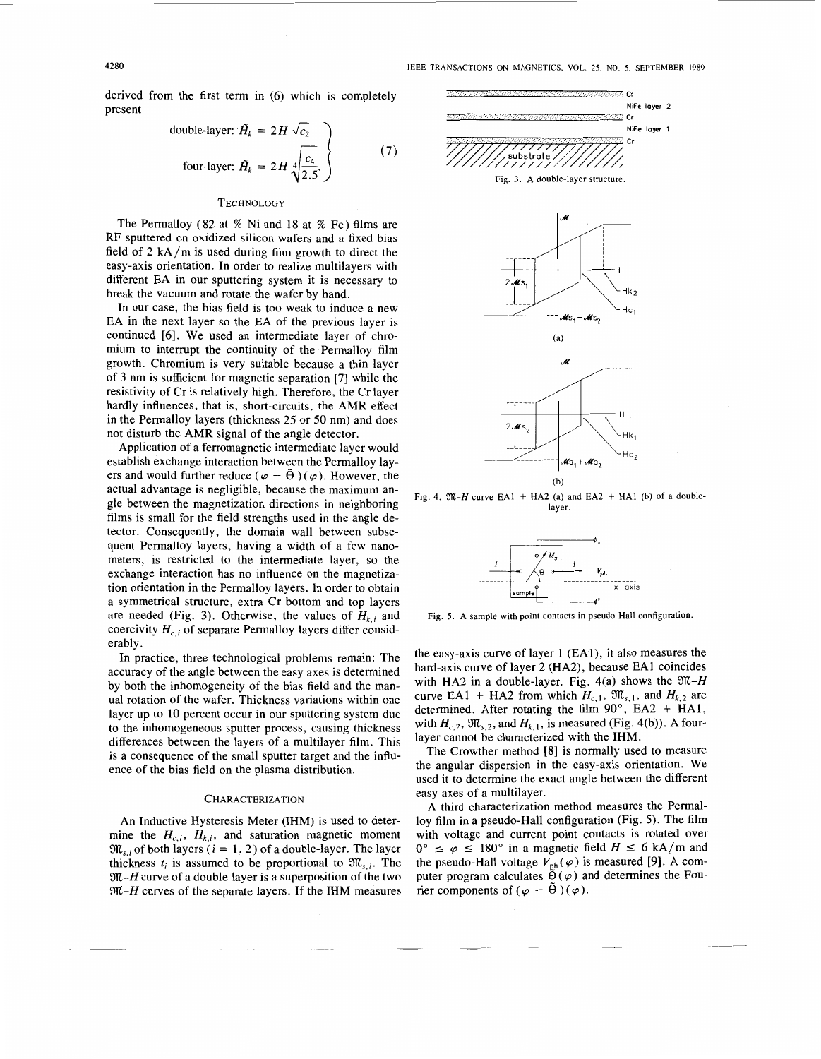derived from the first term in (6) which is completely present

double-layer: 
$$
\tilde{H}_k = 2H\sqrt{c_2}
$$
  
four-layer:  $\tilde{H}_k = 2H\sqrt{\frac{c_4}{2.5}}$  (7)

# **TECHNOLOGY**

The Permalloy (82 at % Ni and 18 at % Fe) films are RF sputtered on oxidized silicon wafers and a fixed bias field of **2** kA/m is used during film growth to direct the easy-axis orientation. In order to realize multilayers with different EA in our sputtering system it is necessary to break the vacuum and rotate the wafer by hand.

In our case, the bias field is too weak to induce a new EA in the next layer so the EA of the previous layer is continued [6]. We used an intermediate layer of chromium to interrupt the continuity of the Permalloy film growth. Chromium is very suitable because a thin layer of **3** nm is sufficient for magnetic separation [7] while the resistivity of Cr is relatively high. Therefore, the Cr layer hardly influences, that is, short-circuits, the AMR effect in the Permalloy layers (thickness 25 or 50 nm) and does not disturb the AMR signal of the angle detector.

Application of a ferromagnetic intermediate layer would establish exchange interaction between the Permalloy layers and would further reduce  $(\varphi - \tilde{\theta}) (\varphi)$ . However, the actual advantage is negligible, because the maximum angle between the magnetization directions in neighboring films is small for the field strengths used in the angle detector. Consequently, the domain wall between subsequent Permalloy layers, having a width of a few nanometers, is restricted to the intermediate layer, so the exchange interaction has no influence on the magnetization orientation in the Permalloy layers. In order to obtain a symmetrical structure, extra Cr bottom and top layers are needed (Fig. 3). Otherwise, the values of  $H_{k,i}$  and coercivity  $H_{c,i}$  of separate Permalloy layers differ considerably.

In practice, three technological problems remain: The accuracy of the angle between the easy axes is determined by both the inhomogeneity of the bias field and the manual rotation of the wafer. Thickness variations within one layer up to 10 percent occur in our sputtering system due to the inhomogeneous sputter process, causing thickness differences between the layers of a multilayer film. This is a consequence of the small sputter target and the influence of the bias field on the plasma distribution.

## **CHARACTERIZATION**

An Inductive Hysteresis Meter (IHM) is used to determine the  $H_{c,i}$ ,  $H_{k,i}$ , and saturation magnetic moment  $\mathfrak{M}_{s,i}$  of both layers ( $i = 1, 2$ ) of a double-layer. The layer thickness  $t_i$  is assumed to be proportional to  $\mathfrak{M}_{s,i}$ . The *32-H* curve of a double-layer is a superposition of the two *3n-H* curves of the separate layers. If the IHM measures



Fig. 4.  $\mathfrak{M}$ -H curve EA1 + HA2 (a) and EA2 + HA1 (b) of a double**layer.** 



**Fig. 5. A sample with point contacts in pseudo-Hall configuration.** 

the easy-axis curve of layer 1 (EAl), it also measures the hard-axis curve of layer 2 (HA2), because EA1 coincides with HA2 in a double-layer. Fig.  $4(a)$  shows the  $\mathfrak{M}$ -H curve EA1 + HA2 from which  $H_{c,1}$ ,  $\mathfrak{M}_{s,1}$ , and  $H_{k,2}$  are determined. After rotating the film **90°,** EA2 + HA1, with  $H_{c,2}$ ,  $\mathfrak{M}_{s,2}$ , and  $H_{k,1}$ , is measured (Fig. 4(b)). A fourlayer cannot be characterized with the IHM.

The Crowther method **[8]** is normally used to measure the angular dispersion in the easy-axis orientation. We used it to determine the exact angle between the different easy axes of a multilayer.

A third characterization method measures the Permalloy film in a pseudo-Hall configuration (Fig. 5). The film<br>with voltage and current point contacts is rotated over<br> $0^{\circ} \le \varphi \le 180^{\circ}$  in a magnetic field *H*  $\le 6$  kA/m and<br> $\sqrt{180^{\circ}}$  **I** and  $\sqrt{180^{\circ}}$  *I*  $\approx 6$ with voltage and current point contacts is rotated over the pseudo-Hall voltage  $V_{ph}(\varphi)$  is measured [9]. A computer program calculates  $\tilde{\Theta}(\varphi)$  and determines the Fourier components of  $(\varphi - \tilde{\Theta})(\varphi)$ .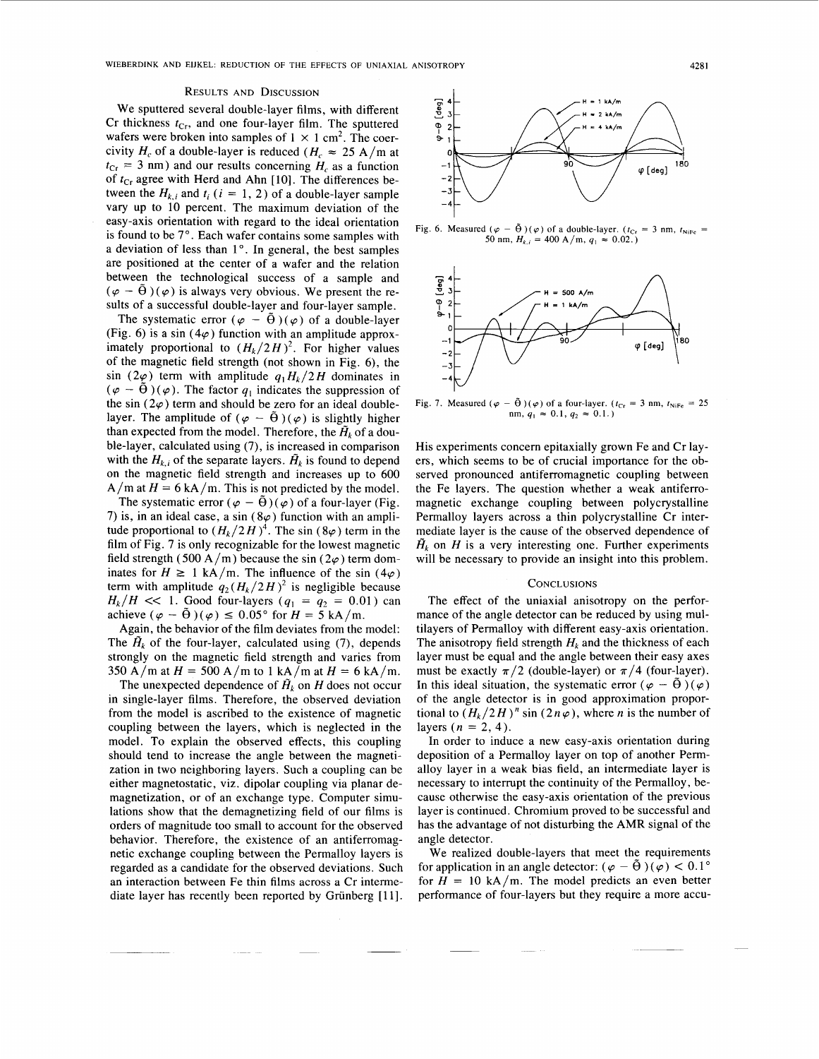#### RESULTS AND DISCUSSION

We sputtered several double-layer films, with different Cr thickness  $t_{Cr}$ , and one four-layer film. The sputtered wafers were broken into samples of  $1 \times 1$  cm<sup>2</sup>. The coercivity  $H_c$  of a double-layer is reduced  $(H_c \approx 25 \text{ A/m at}$  $t_{Cr}$  = 3 nm) and our results concerning  $H_c$  as a function of  $t_{Cr}$  agree with Herd and Ahn [10]. The differences between the  $H_{k,i}$  and  $t_i$  ( $i = 1, 2$ ) of a double-layer sample vary up to 10 percent. The maximum deviation of the easy-axis orientation with regard to the ideal orientation is found to be 7°. Each wafer contains some samples with a deviation of less than 1<sup>°</sup>. In general, the best samples are positioned at the center of a wafer and the relation between the technological success of a sample and  $(\varphi - \tilde{\theta})(\varphi)$  is always very obvious. We present the results of a successful double-layer and four-layer sample.

The systematic error  $(\varphi - \tilde{\theta})(\varphi)$  of a double-layer (Fig. 6) is a sin ( $4\varphi$ ) function with an amplitude approximately proportional to  $(H_k/2H)^2$ . For higher values of the magnetic field strength (not shown in Fig. 6), the sin (2 $\varphi$ ) term with amplitude  $q_1H_k/2H$  dominates in  $(\varphi - \tilde{\Theta})(\varphi)$ . The factor  $q_1$  indicates the suppression of the sin  $(2\varphi)$  term and should be zero for an ideal doublelayer. The amplitude of  $(\varphi - \tilde{\theta})(\varphi)$  is slightly higher than expected from the model. Therefore, the  $\tilde{H}_k$  of a double-layer, calculated using (7), is increased in comparison with the  $H_{k,i}$  of the separate layers.  $\tilde{H}_k$  is found to depend on the magnetic field strength and increases up to 600  $A/m$  at  $H = 6$  kA/m. This is not predicted by the model.

The systematic error  $(\varphi - \tilde{\theta})(\varphi)$  of a four-layer (Fig. 7) is, in an ideal case, a sin ( $8\varphi$ ) function with an amplitude proportional to  $(H_k/2H)^4$ . The sin  $(8\varphi)$  term in the film of Fig. 7 is only recognizable for the lowest magnetic field strength (500 A/m) because the sin (2 $\varphi$ ) term dominates for  $H \ge 1$  kA/m. The influence of the sin (4 $\varphi$ ) term with applitude  $q(H/2H)^2$  is paraliable field strength (500 A/m) because the sin  $(2\varphi)$  term dom-<br>inates for  $H \ge 1$  kA/m. The influence of the sin  $(4\varphi)$ term with amplitude  $q_2 (H_k/2H)^2$  is negligible because  $H_k/H \ll 1$ . Good four-layers  $(q_1 = q_2 = 0.01)$  can term with amplitude  $q_2(H_k/2H)^2$  is negligible b<br>  $H_k/H \ll 1$ . Good four-layers  $(q_1 = q_2 = 0.0$ <br>
achieve  $(\varphi - \tilde{\Theta})(\varphi) \le 0.05$ ° for  $H = 5$  kA/m.<br>
Again the behavior for the film deviates from the

Again, the behavior of the film deviates from the model: The  $\tilde{H}_k$  of the four-layer, calculated using (7), depends strongly on the magnetic field strength and varies from 350 A/m at  $H = 500$  A/m to 1 kA/m at  $H = 6$  kA/m.

The unexpected dependence of  $\tilde{H}_k$  on *H* does not occur in single-layer films. Therefore, the observed deviation from the model is ascribed to the existence of magnetic coupling between the layers, which is neglected in the model. To explain the observed effects, this coupling should tend to increase the angle between the magnetization in two neighboring layers. Such a coupling can be either magnetostatic, viz. dipolar coupling via planar demagnetization, or of an exchange type. Computer simulations show that the demagnetizing field of our films is orders of magnitude too small to account for the observed behavior. Therefore, the existence of an antiferromagnetic exchange coupling between the Permalloy layers is regarded as a candidate for the observed deviations. Such an interaction between Fe thin films across a Cr intermediate layer has recently been reported by Griinberg [l **11.** 



**Fig. 6. Measured**  $(\varphi - \tilde{\Theta})(\varphi)$  of a double-layer.  $(t_{Cr} = 3 \text{ nm}, t_{NiFe})$ 50 nm,  $H_{k,i} = 400 \text{ A/m}, q_1 \approx 0.02.$ 



**Fig. 7.** Measured  $(\varphi - \tilde{\Theta})(\varphi)$  of a four-layer.  $(t_{Cr} = 3 \text{ nm}, t_{NiFe} = 25$ nm,  $q_1 \approx 0.1$ ,  $q_2 \approx 0.1$ .)

His experiments concern epitaxially grown Fe and Cr layers, which seems to be of crucial importance for the observed pronounced antiferromagnetic coupling between the Fe layers. The question whether a weak antiferromagnetic exchange coupling between polycrystalline Permalloy layers across a thin polycrystalline Cr intermediate layer is the cause of the observed dependence of  $\tilde{H}_k$  on *H* is a very interesting one. Further experiments will be necessary to provide an insight into this problem.

## **CONCLUSIONS**

The effect of the uniaxial anisotropy on the performance of the angle detector can be reduced by using multilayers of Permalloy with different easy-axis orientation. The anisotropy field strength  $H_k$  and the thickness of each layer must be equal and the angle between their easy axes must be exactly  $\pi/2$  (double-layer) or  $\pi/4$  (four-layer). In this ideal situation, the systematic error  $(\varphi - \hat{\theta})(\varphi)$ of the angle detector is in good approximation proportional to  $(H_k/2H)^n$  sin  $(2n\varphi)$ , where *n* is the number of layers  $(n = 2, 4)$ .

In order to induce a new easy-axis orientation during deposition of a Permalloy layer on top of another Permalloy layer in a weak bias field, an intermediate layer is necessary to interrupt the continuity of the Permalloy, because otherwise the easy-axis orientation of the previous layer is continued. Chromium proved to be successful and has the advantage of not disturbing the **AMR** signal of the angle detector.

We realized double-layers that meet the requirements for application in an angle detector:  $(\varphi - \theta)(\varphi) < 0.1^{\circ}$ for  $H = 10 \text{ kA/m}$ . The model predicts an even better performance of four-layers but they require a more accu